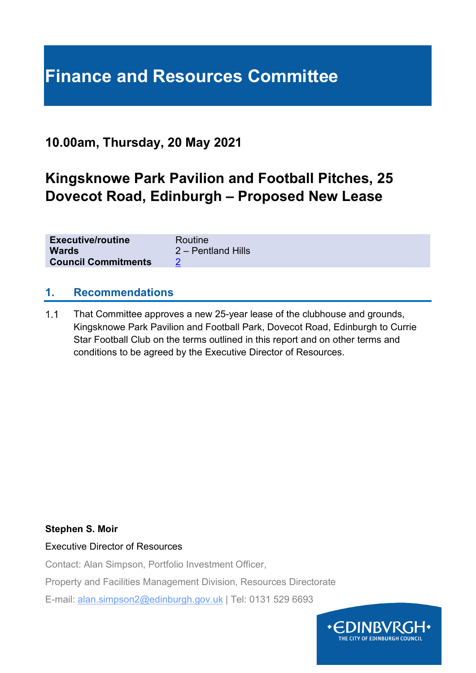## **Finance and Resources Committee**

### **10.00am, Thursday, 20 May 2021**

### **Kingsknowe Park Pavilion and Football Pitches, 25 Dovecot Road, Edinburgh – Proposed New Lease**

| <b>Executive/routine</b>   | Routine            |
|----------------------------|--------------------|
| <b>Wards</b>               | 2 – Pentland Hills |
| <b>Council Commitments</b> |                    |

#### **1. Recommendations**

 $1.1$ That Committee approves a new 25-year lease of the clubhouse and grounds, Kingsknowe Park Pavilion and Football Park, Dovecot Road, Edinburgh to Currie Star Football Club on the terms outlined in this report and on other terms and conditions to be agreed by the Executive Director of Resources.

#### **Stephen S. Moir**

#### Executive Director of Resources

Contact: Alan Simpson, Portfolio Investment Officer,

Property and Facilities Management Division, Resources Directorate

E-mail: alan.simpson2@edinburgh.gov.uk | Tel: 0131 529 6693

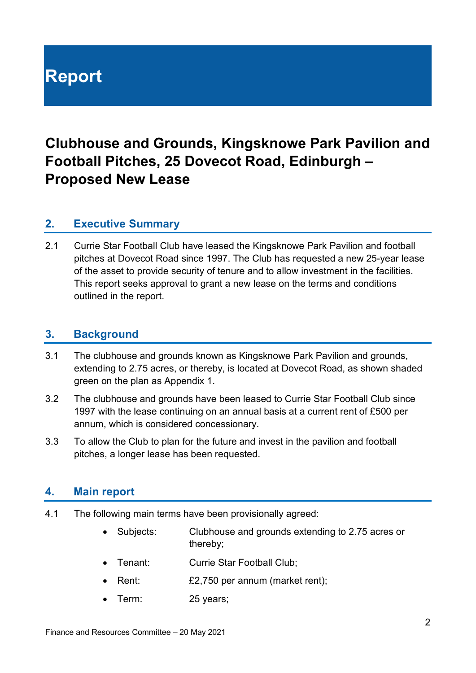# **Report**

## **Clubhouse and Grounds, Kingsknowe Park Pavilion and Football Pitches, 25 Dovecot Road, Edinburgh – Proposed New Lease**

#### **2. Executive Summary**

2.1 Currie Star Football Club have leased the Kingsknowe Park Pavilion and football pitches at Dovecot Road since 1997. The Club has requested a new 25-year lease of the asset to provide security of tenure and to allow investment in the facilities. This report seeks approval to grant a new lease on the terms and conditions outlined in the report.

#### **3. Background**

- 3.1 The clubhouse and grounds known as Kingsknowe Park Pavilion and grounds, extending to 2.75 acres, or thereby, is located at Dovecot Road, as shown shaded green on the plan as Appendix 1.
- 3.2 The clubhouse and grounds have been leased to Currie Star Football Club since 1997 with the lease continuing on an annual basis at a current rent of £500 per annum, which is considered concessionary.
- 3.3 To allow the Club to plan for the future and invest in the pavilion and football pitches, a longer lease has been requested.

#### **4. Main report**

- 4.1 The following main terms have been provisionally agreed:
	- Subjects: Clubhouse and grounds extending to 2.75 acres or thereby;
	- Tenant: Currie Star Football Club;
	- Rent: £2,750 per annum (market rent);
	- Term: 25 years;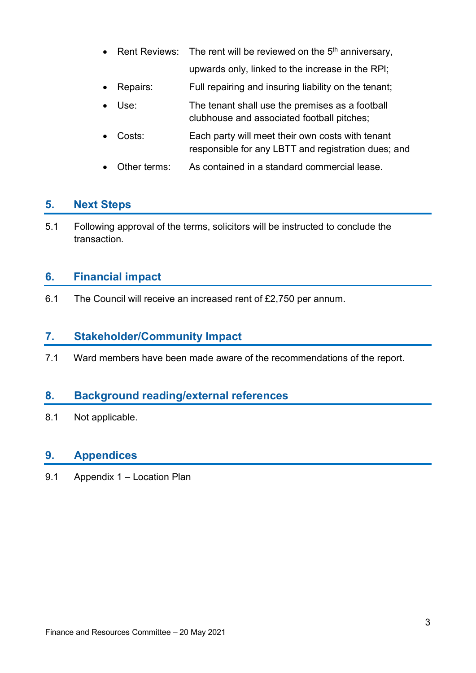- Rent Reviews: The rent will be reviewed on the  $5<sup>th</sup>$  anniversary, upwards only, linked to the increase in the RPI;
- Repairs: Full repairing and insuring liability on the tenant;
- Use: The tenant shall use the premises as a football clubhouse and associated football pitches;
- Costs: Each party will meet their own costs with tenant responsible for any LBTT and registration dues; and
- Other terms: As contained in a standard commercial lease.

#### **5. Next Steps**

5.1 Following approval of the terms, solicitors will be instructed to conclude the transaction.

#### **6. Financial impact**

6.1 The Council will receive an increased rent of £2,750 per annum.

#### **7. Stakeholder/Community Impact**

7.1 Ward members have been made aware of the recommendations of the report.

#### **8. Background reading/external references**

8.1 Not applicable.

#### **9. Appendices**

9.1 Appendix 1 – Location Plan